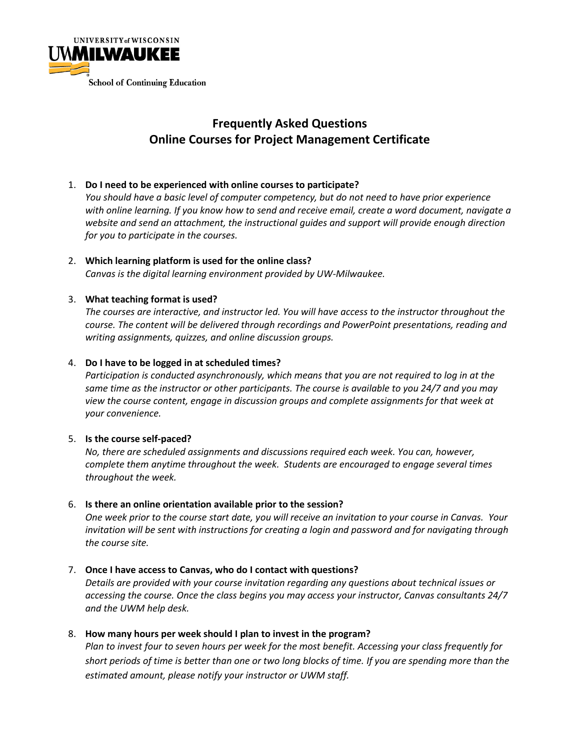

# **Frequently Asked Questions Online Courses for Project Management Certificate**

# 1. **Do I need to be experienced with online courses to participate?**

*You should have a basic level of computer competency, but do not need to have prior experience with online learning. If you know how to send and receive email, create a word document, navigate a website and send an attachment, the instructional guides and support will provide enough direction for you to participate in the courses.* 

2. **Which learning platform is used for the online class?**  *Canvas is the digital learning environment provided by UW-Milwaukee.* 

# 3. **What teaching format is used?**

*The courses are interactive, and instructor led. You will have access to the instructor throughout the course. The content will be delivered through recordings and PowerPoint presentations, reading and writing assignments, quizzes, and online discussion groups.* 

# 4. **Do I have to be logged in at scheduled times?**

*Participation is conducted asynchronously, which means that you are not required to log in at the same time as the instructor or other participants. The course is available to you 24/7 and you may view the course content, engage in discussion groups and complete assignments for that week at your convenience.* 

## 5. **Is the course self-paced?**

*No, there are scheduled assignments and discussions required each week. You can, however, complete them anytime throughout the week. Students are encouraged to engage several times throughout the week.* 

## 6. **Is there an online orientation available prior to the session?**

*One week prior to the course start date, you will receive an invitation to your course in Canvas. Your invitation will be sent with instructions for creating a login and password and for navigating through the course site.*

# 7. **Once I have access to Canvas, who do I contact with questions?**

*Details are provided with your course invitation regarding any questions about technical issues or accessing the course. Once the class begins you may access your instructor, Canvas consultants 24/7 and the UWM help desk.* 

# 8. **How many hours per week should I plan to invest in the program?**

*Plan to invest four to seven hours per week for the most benefit. Accessing your class frequently for short periods of time is better than one or two long blocks of time. If you are spending more than the estimated amount, please notify your instructor or UWM staff.*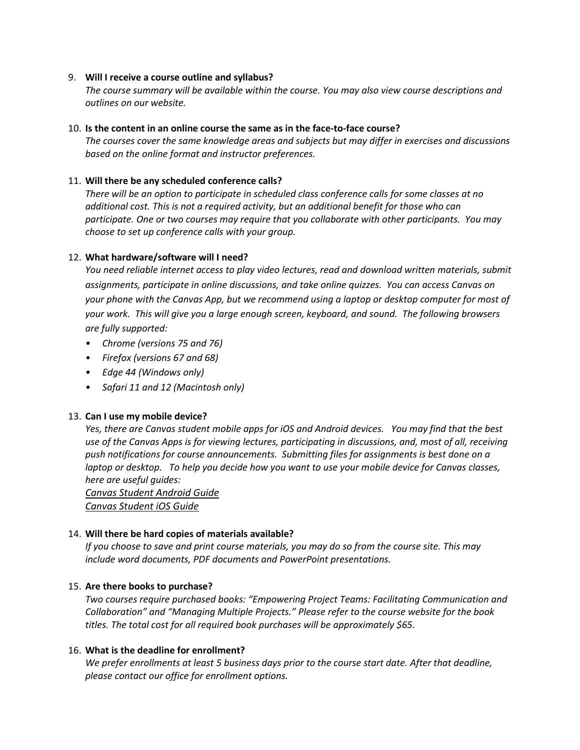#### 9. **Will I receive a course outline and syllabus?**

*The course summary will be available within the course. You may also view course descriptions and outlines on our website.* 

#### 10. **Is the content in an online course the same as in the face-to-face course?**

*The courses cover the same knowledge areas and subjects but may differ in exercises and discussions based on the online format and instructor preferences.*

#### 11. **Will there be any scheduled conference calls?**

*There will be an option to participate in scheduled class conference calls for some classes at no additional cost. This is not a required activity, but an additional benefit for those who can participate. One or two courses may require that you collaborate with other participants. You may choose to set up conference calls with your group.*

## 12. **What hardware/software will I need?**

*You need reliable internet access to play video lectures, read and download written materials, submit assignments, participate in online discussions, and take online quizzes. You can access Canvas on your phone with the Canvas App, but we recommend using a laptop or desktop computer for most of your work. This will give you a large enough screen, keyboard, and sound. The following browsers are fully supported:* 

- *• Chrome (versions 75 and 76)*
- *• Firefox (versions 67 and 68)*
- *• Edge 44 (Windows only)*
- *• Safari 11 and 12 (Macintosh only)*

## 13. **Can I use my mobile device?**

*Yes, there are Canvas student mobile apps for iOS and Android devices. You may find that the best use of the Canvas Apps is for viewing lectures, participating in discussions, and, most of all, receiving push notifications for course announcements. Submitting files for assignments is best done on a laptop or desktop. To help you decide how you want to use your mobile device for Canvas classes, here are useful guides:*

*Canvas Student [Android](https://community.canvaslms.com/docs/DOC-9811-canvas-student-android-guide-table-of-contents) Guide Canvas [Student](https://community.canvaslms.com/docs/DOC-9867-canvas-by-instructure-ios-guide-table-of-contents) iOS Guide*

## 14. **Will there be hard copies of materials available?**

*If you choose to save and print course materials, you may do so from the course site. This may include word documents, PDF documents and PowerPoint presentations.* 

#### 15. **Are there books to purchase?**

*Two courses require purchased books: "Empowering Project Teams: Facilitating Communication and Collaboration" and "Managing Multiple Projects." Please refer to the course website for the book titles. The total cost for all required book purchases will be approximately \$65.*

#### 16. **What is the deadline for enrollment?**

*We prefer enrollments at least 5 business days prior to the course start date. After that deadline, please contact our office for enrollment options.*